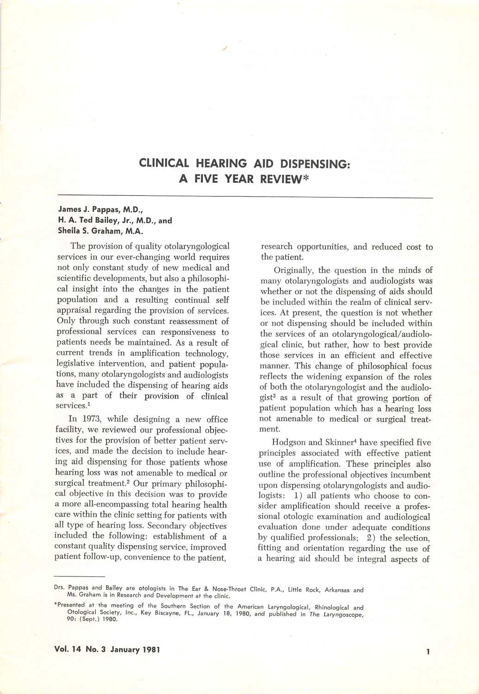# CLINICAL HEARING AID DISPENSING: A FIVE YEAR REVIEW\*

### James J. Pappas, M.D., H. A. Ted Bailey, Jr., M.D., and Sheila S. Graham, M.A.

The provision of quality otolaryngological services in our ever-changing world requires not only constant study of new medical and scientific developments, but also a philosophi cal insight into the changes in the patient population and a resulting continual self appraisal regarding the provision of services. Only through such constant reassessment of professional services can responsiveness to patients needs be maintained. As a result of current trends in amplification technology, legislative intervention, and patient popula tions, many otolaryngologists and audiologists have included the dispensing of hearing aids as a part of their provision of clinical services.<sup>1</sup>

In 1973, while designing a new office facility, we reviewed our professional objec tives for the provision of better patient serv ices, and made the decision to include hear ing aid dispensing for those patients whose hearing loss was not amenable to medical or surgical treatment.<sup>2</sup> Our primary philosophical objective in this decision was to provide a more all-encompassing total hearing health care within the clinic setting for patients with all type of hearing loss. Secondary objectives included the following: establishment of a constant quality dispensing service, improved patient follow-up, convenience to the patient.

research opportunities, and reduced cost to the patient.

Originally, the question in the minds of many otolaryngologists and audiologists was whether or not the dispensing of aids should be included within the realm of clinical serv ices. At present, the question is not whether or not dispensing should be included within the services of an otolaryngological/audiological clinic, but rather, how to best provide those services in an efficient and effective manner. This change of philosophical focus reflects the widening expansion of the roles of both the otolaryngologist and the audiolo gist<sup>3</sup> as a result of that growing portion of patient population which has a hearing loss not amenable to medical or surgical treat ment.

Hodgson and Skinner^ have specified five principles associated with effective patient use of amplification. These principles also outline the professional objectives incumbent upon dispensing otolaryngologists and audio logists: 1) all patients who choose to consider amplification should receive a profes sional otologic examination and audiological evaluation done under adequate conditions by qualified professionals; 2) the selection, fitting and orientation regarding the use of a hearing aid should be integral aspects of

Drs. Pappas and Bailey are otologists in The Ear & Nose-Throat Clinic, P.A., Little Rock, Arkansas and Ms. Graham is in Research and Development at the clinic.

Presented at the meeting of the Southern Section of the American Laryngological, Rhinological and Otologicai Society, inc., Key Biscayne, FL., January 18, 1980, and published in The Laryngoscope, 90; (Sept.) 1980.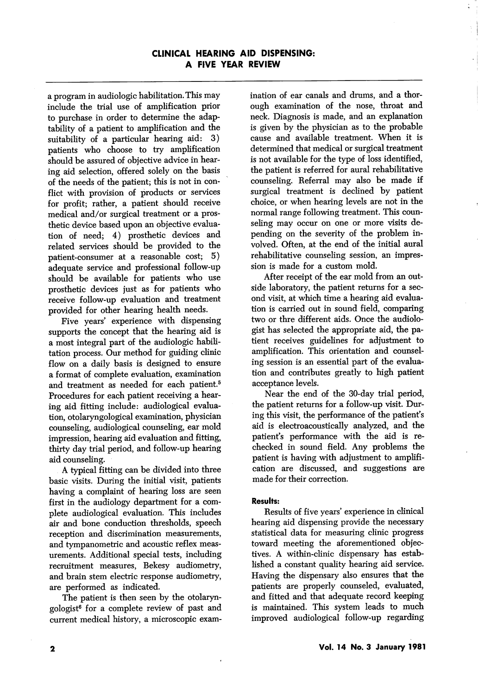## CLINICAL HEARING AID DISPENSING: A FIVE YEAR REVIEW

a program in audiologic habilitation. This may include the trial use of amplification prior to purchase in order to determine the adap tability of a patient to amplification and the suitability of a particular hearing aid: 3) patients who choose to try amplification should be assured of objective advice in hear ing aid selection, offered solely on the basis of the needs of the patient; this is not in con flict with provision of products or services for profit; rather, a patient should receive medical and/or surgical treatment or a pros thetic device based upon an objective evalua tion of need; 4) prosthetic devices and related services should be provided to the patient-consumer at a reasonable cost; 5) adequate service and professional follow-up should be available for patients who use prosthetic devices just as for patients who receive follow-up evaluation and treatment provided for other hearing health needs.

Five years' experience with dispensing supports the concept that the hearing aid is a most integral part of the audiologic habili tation process. Our method for guiding clinic flow on a daily basis is designed to ensure a format of complete evaluation, examination and treatment as needed for each patient.<sup>5</sup> Procedures for each patient receiving a hear ing aid fitting include: audiological evalua tion, otolaryngological examination, physician counseling, audiological counseling, ear mold impression, hearing aid evaluation and fitting, thirty day trial period, and follow-up hearing aid counseling.

A typical fitting can be divided into three basic visits. During the initial visit, patients having a complaint of hearing loss are seen first in the audiology department for a com plete audiological evaluation. This includes air and bone conduction thresholds, speech reception and discrimination measurements, and tympanometric and acoustic reflex meas urements. Additional special tests, including recruitment measures, Bekesy audiometry, and brain stem electric response audiometry, are performed as indicated.

The patient is then seen by the otolaryngologist® for a complete review of past and current medical history, a microscopic exam

ination of ear canals and drums, and a thor ough examination of the nose, throat and neck. Diagnosis is made, and an explanation is given by the physician as to the probable cause and available treatment. When it is determined that medical or surgical treatment is not available for the type of loss identified, the patient is referred for aural rehabilitative counseling. Referral may also be made if surgical treatment is declined by patient choice, or when hearing levels are not in the normal range following treatment. This coun seling may occur on one or more visits de pending on the severity of the problem in volved. Often, at the end of the initial aural rehabilitative counseling session, an impres sion is made for a custom mold.

After receipt of the ear mold from an out side laboratory, the patient returns for a sec ond visit, at which time a hearing aid evalua tion is carried out in sound field, comparing two or thre different aids. Once the audiologist has selected the appropriate aid, the pa tient receives guidelines for adjustment to amplification. This orientation and counsel ing session is an essential part of the evalua tion and contributes greatly to high patient acceptance levels.

Near the end of the 30-day trial period, the patient returns for a follow-up visit. Dur ing this visit, the performance of the patient's aid is electroacoustically analyzed, and the patient's performance with the aid is rechecked in sound field. Any problems the patient is having with adjustment to amplifi cation are discussed, and suggestions are made for their correction.

#### Results:

Results of five years' experience in clinical hearing aid dispensing provide the necessary statistical data for measuring clinic progress toward meeting the aforementioned objec tives. A within-clinic dispensary has estab lished a constant quality hearing aid service. Having the dispensary also ensures that the patients are properly counseled, evaluated, and fitted and that adequate record keeping is maintained. This system leads to much improved audiological follow-up regarding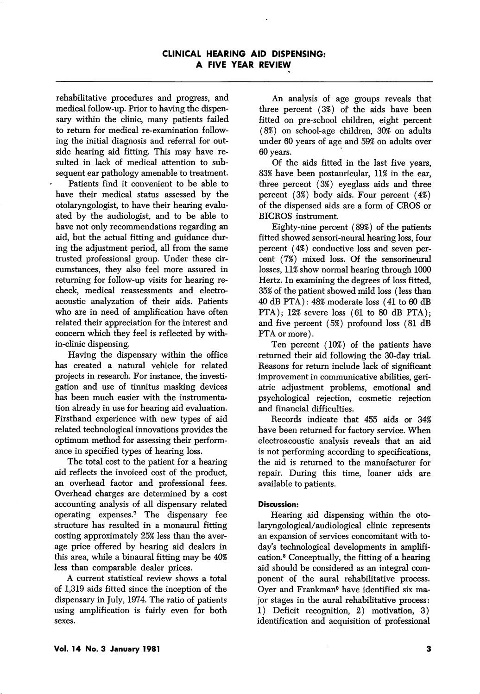rehabilitative procedures and progress, and medical follow-up. Prior to having the dispen sary within the clinic, many patients failed to return for medical re-examination follow ing the initial diagnosis and referral for out side hearing aid fitting. This may have re sulted in lack of medical attention to sub sequent ear pathology amenable to treatment.

Patients find it convenient to be able to have their medical status assessed by the otolaryngologist, to have their hearing evalu ated by the audiologist, and to be able to have not only recommendations regarding an aid, but the actual fitting and guidance dur ing the adjustment period, all from the same trusted professional group. Under these cir cumstances, they also feel more assured in returning for follow-up visits for hearing recheck, medical reassessments and electroacoustic analyzation of their aids. Patients who are in need of amplification have often related their appreciation for the interest and concern which they feel is reflected by within-clinic dispensing.

Having the dispensary within the office has created a natural vehicle for related projects in research. For instance, the investi gation and use of tinnitus masking devices has been much easier with the instrumenta tion already in use for hearing aid evaluation. Firsthand experience with new types of aid related technological innovations provides the optimum method for assessing their perform ance in specified types of hearing loss.

The total cost to the patient for a hearing aid reflects the invoiced cost of the product, an overhead factor and professional fees. Overhead charges are determined by a cost accounting analysis of all dispensary related operating expenses.'' The dispensary fee structure has resulted in a monaural fitting costing approximately 25% less than the aver age price offered by hearing aid dealers in this area, while a binaural fitting may be 40% less than comparable dealer prices.

A current statistical review shows a total of 1,319 aids fitted since the inception of the dispensary in July, 1974. The ratio of patients using amplification is fairly even for both sexes.

An analysis of age groups reveals that three percent (3%) of the aids have been fitted on pre-school children, eight percent (8%) on school-age children, 30% on adults under 60 years of age and 59% on adults over 60 years.

Of the aids fitted in the last five years, 83% have been postauricular, 11% in the ear, three percent (3%) eyeglass aids and three percent (3%) body aids. Four percent (4%) of the dispensed aids are a form of CROS or BICROS instrument.

Eighty-nine percent (89%) of the patients fitted showed sensori-neural hearing loss, four percent (4%) conductive loss and seven per cent (7%) mixed loss. Of the sensorineural losses, 11% show normal hearing through 1000 Hertz. In examining the degrees of loss fitted, 35% of the patient showed mild loss (less than 40 dB PTA): 48% moderate loss (41 to 60 dB PTA); 12% severe loss (61 to 80 dB PTA); and five percent (5%) profound loss (81 dB PTA or more).

Ten percent (10%) of the patients have returned their aid following the 30-day trial. Reasons for return include lack of significant improvement in communicative abilities, geri atric adjustment problems, emotional and psychological rejection, cosmetic rejection and financial difficulties.

Records indicate that 455 aids or 34% have been returned for factory service. When electroacoustic analysis reveals that an aid is not performing according to specifications, the aid is returned to the manufacturer for repair. During this time, loaner aids are available to patients.

## Discussion:

Hearing aid dispensing within the otolaryngological/audiological clinic represents an expansion of services concomitant with to day's technological developments in amplifi cation.® Conceptually, the fitting of a hearing aid should be considered as an integral com ponent of the aural rehabilitative process. Oyer and Frankman® have identified six ma jor stages in the aural rehabilitative process: 1) Deficit recognition, 2) motivation, 3) identification and acquisition of professional